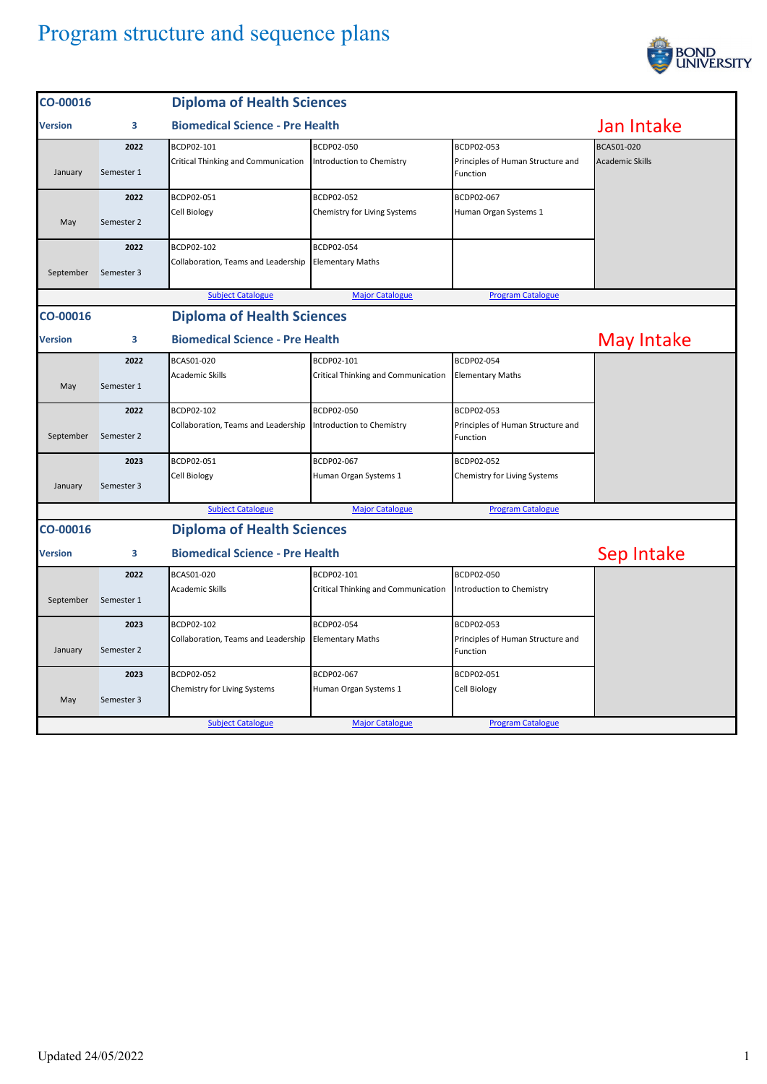

| CO-00016       |                                   | <b>Diploma of Health Sciences</b>                    |                                            |                                               |                        |  |
|----------------|-----------------------------------|------------------------------------------------------|--------------------------------------------|-----------------------------------------------|------------------------|--|
| <b>Version</b> | 3                                 | <b>Biomedical Science - Pre Health</b>               |                                            |                                               | Jan Intake             |  |
|                | 2022                              | BCDP02-101                                           | BCDP02-050                                 | BCDP02-053                                    | BCAS01-020             |  |
| January        | Semester 1                        | Critical Thinking and Communication                  | Introduction to Chemistry                  | Principles of Human Structure and<br>Function | <b>Academic Skills</b> |  |
|                | 2022                              | BCDP02-051                                           | BCDP02-052                                 | BCDP02-067                                    |                        |  |
| May            | Semester 2                        | Cell Biology                                         | Chemistry for Living Systems               | Human Organ Systems 1                         |                        |  |
|                | 2022                              | BCDP02-102                                           | BCDP02-054                                 |                                               |                        |  |
| September      | Semester 3                        | Collaboration, Teams and Leadership Elementary Maths |                                            |                                               |                        |  |
|                |                                   | <b>Subject Catalogue</b>                             | <b>Major Catalogue</b>                     | <b>Program Catalogue</b>                      |                        |  |
| CO-00016       | <b>Diploma of Health Sciences</b> |                                                      |                                            |                                               |                        |  |
| Version        | 3                                 | <b>Biomedical Science - Pre Health</b>               |                                            |                                               | May Intake             |  |
|                | 2022                              | BCAS01-020                                           | BCDP02-101                                 | BCDP02-054                                    |                        |  |
| May            | Semester 1                        | <b>Academic Skills</b>                               | Critical Thinking and Communication        | <b>Elementary Maths</b>                       |                        |  |
|                | 2022                              | BCDP02-102                                           | BCDP02-050                                 | BCDP02-053                                    |                        |  |
| September      | Semester 2                        | Collaboration, Teams and Leadership                  | Introduction to Chemistry                  | Principles of Human Structure and<br>Function |                        |  |
|                | 2023                              | BCDP02-051                                           | BCDP02-067                                 | BCDP02-052                                    |                        |  |
| January        | Semester 3                        | Cell Biology                                         | Human Organ Systems 1                      | Chemistry for Living Systems                  |                        |  |
|                |                                   | <b>Subject Catalogue</b>                             | <b>Major Catalogue</b>                     | <b>Program Catalogue</b>                      |                        |  |
| CO-00016       | <b>Diploma of Health Sciences</b> |                                                      |                                            |                                               |                        |  |
| Version        | 3                                 | <b>Biomedical Science - Pre Health</b>               |                                            |                                               | Sep Intake             |  |
|                | 2022                              | BCAS01-020                                           | BCDP02-101                                 | BCDP02-050                                    |                        |  |
| September      | Semester 1                        | <b>Academic Skills</b>                               | <b>Critical Thinking and Communication</b> | Introduction to Chemistry                     |                        |  |
|                | 2023                              | BCDP02-102                                           | BCDP02-054                                 | BCDP02-053                                    |                        |  |
| January        | Semester 2                        | Collaboration, Teams and Leadership                  | <b>Elementary Maths</b>                    | Principles of Human Structure and<br>Function |                        |  |
|                | 2023                              | BCDP02-052                                           | BCDP02-067                                 | BCDP02-051                                    |                        |  |
| May            | Semester 3                        | Chemistry for Living Systems                         | Human Organ Systems 1                      | Cell Biology                                  |                        |  |
|                |                                   | <b>Subject Catalogue</b>                             | <b>Major Catalogue</b>                     | <b>Program Catalogue</b>                      |                        |  |